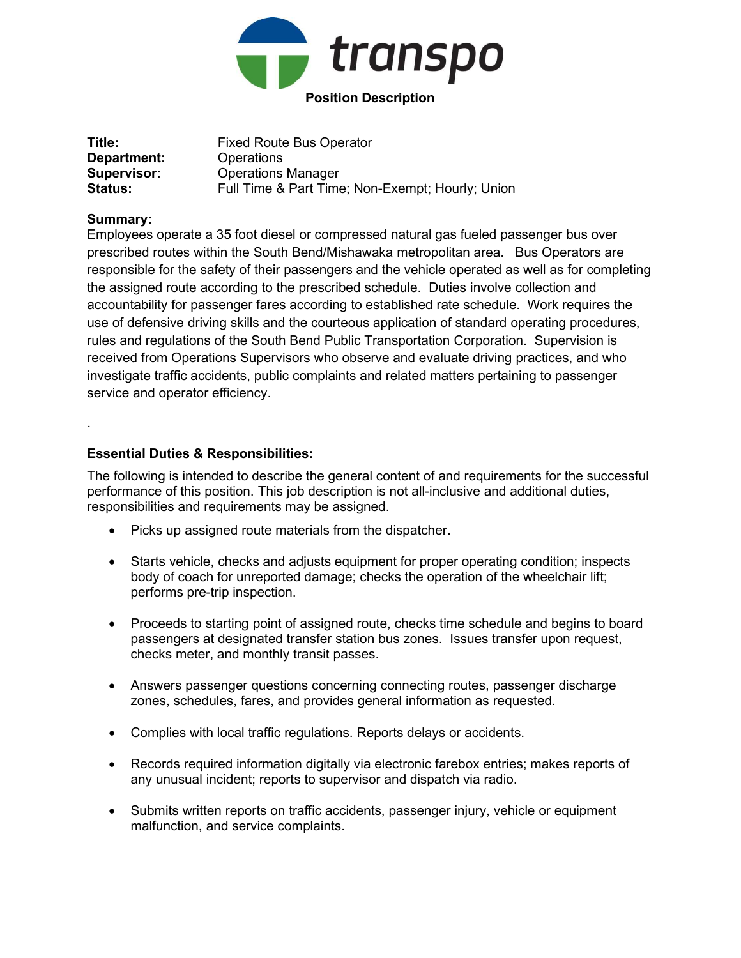

| Title:         | <b>Fixed Route Bus Operator</b>                  |
|----------------|--------------------------------------------------|
| Department:    | Operations                                       |
| Supervisor:    | <b>Operations Manager</b>                        |
| <b>Status:</b> | Full Time & Part Time; Non-Exempt; Hourly; Union |

## Summary:

.

Employees operate a 35 foot diesel or compressed natural gas fueled passenger bus over prescribed routes within the South Bend/Mishawaka metropolitan area. Bus Operators are responsible for the safety of their passengers and the vehicle operated as well as for completing the assigned route according to the prescribed schedule. Duties involve collection and accountability for passenger fares according to established rate schedule. Work requires the use of defensive driving skills and the courteous application of standard operating procedures, rules and regulations of the South Bend Public Transportation Corporation. Supervision is received from Operations Supervisors who observe and evaluate driving practices, and who investigate traffic accidents, public complaints and related matters pertaining to passenger service and operator efficiency.

## Essential Duties & Responsibilities:

The following is intended to describe the general content of and requirements for the successful performance of this position. This job description is not all-inclusive and additional duties, responsibilities and requirements may be assigned.

- Picks up assigned route materials from the dispatcher.
- Starts vehicle, checks and adjusts equipment for proper operating condition; inspects body of coach for unreported damage; checks the operation of the wheelchair lift; performs pre-trip inspection.
- Proceeds to starting point of assigned route, checks time schedule and begins to board passengers at designated transfer station bus zones. Issues transfer upon request, checks meter, and monthly transit passes.
- Answers passenger questions concerning connecting routes, passenger discharge zones, schedules, fares, and provides general information as requested.
- Complies with local traffic regulations. Reports delays or accidents.
- Records required information digitally via electronic farebox entries; makes reports of any unusual incident; reports to supervisor and dispatch via radio.
- Submits written reports on traffic accidents, passenger injury, vehicle or equipment malfunction, and service complaints.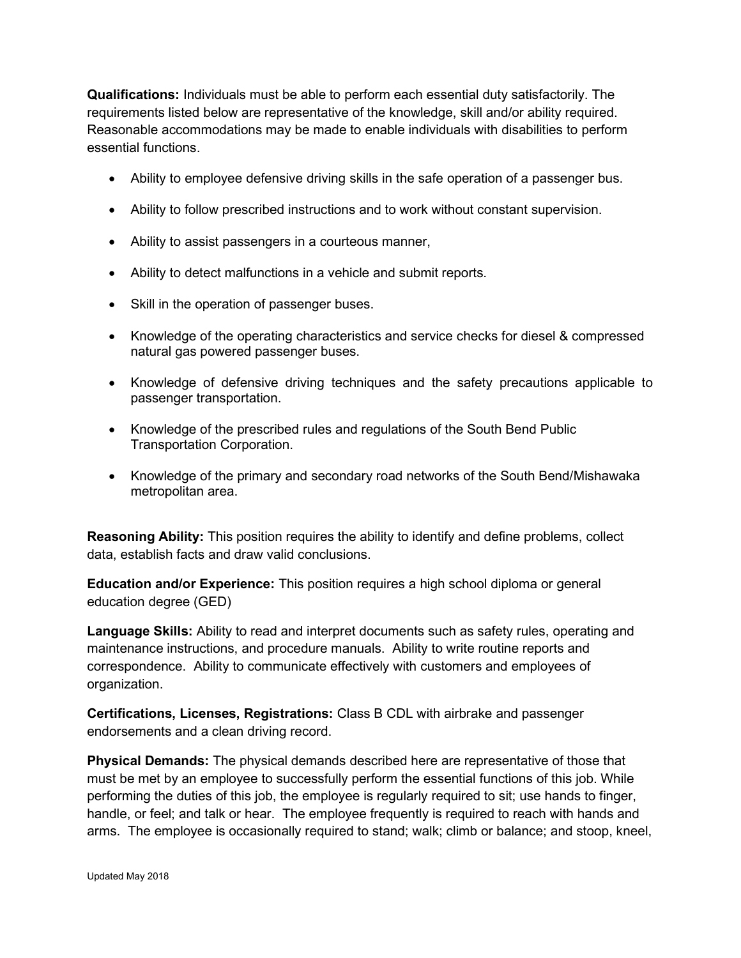Qualifications: Individuals must be able to perform each essential duty satisfactorily. The requirements listed below are representative of the knowledge, skill and/or ability required. Reasonable accommodations may be made to enable individuals with disabilities to perform essential functions.

- Ability to employee defensive driving skills in the safe operation of a passenger bus.
- Ability to follow prescribed instructions and to work without constant supervision.
- Ability to assist passengers in a courteous manner,
- Ability to detect malfunctions in a vehicle and submit reports.
- Skill in the operation of passenger buses.
- Knowledge of the operating characteristics and service checks for diesel & compressed natural gas powered passenger buses.
- Knowledge of defensive driving techniques and the safety precautions applicable to passenger transportation.
- Knowledge of the prescribed rules and regulations of the South Bend Public Transportation Corporation.
- Knowledge of the primary and secondary road networks of the South Bend/Mishawaka metropolitan area.

Reasoning Ability: This position requires the ability to identify and define problems, collect data, establish facts and draw valid conclusions.

Education and/or Experience: This position requires a high school diploma or general education degree (GED)

Language Skills: Ability to read and interpret documents such as safety rules, operating and maintenance instructions, and procedure manuals. Ability to write routine reports and correspondence. Ability to communicate effectively with customers and employees of organization.

Certifications, Licenses, Registrations: Class B CDL with airbrake and passenger endorsements and a clean driving record.

Physical Demands: The physical demands described here are representative of those that must be met by an employee to successfully perform the essential functions of this job. While performing the duties of this job, the employee is regularly required to sit; use hands to finger, handle, or feel; and talk or hear. The employee frequently is required to reach with hands and arms. The employee is occasionally required to stand; walk; climb or balance; and stoop, kneel,